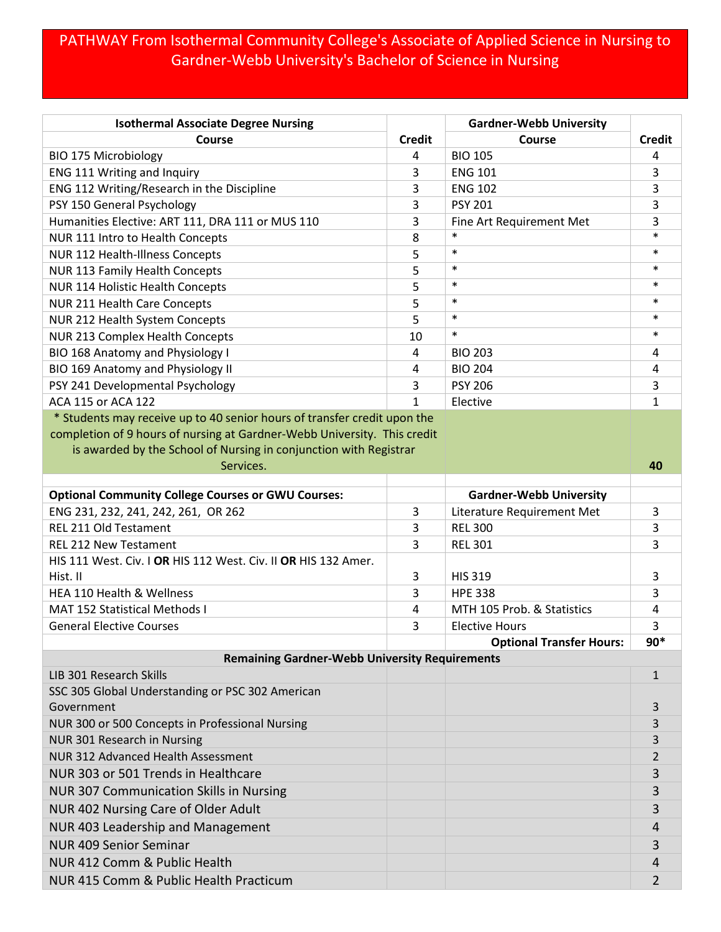## PATHWAY From Isothermal Community College's Associate of Applied Science in Nursing to Gardner-Webb University's Bachelor of Science in Nursing

| <b>Isothermal Associate Degree Nursing</b>                               |               | <b>Gardner-Webb University</b>  |              |
|--------------------------------------------------------------------------|---------------|---------------------------------|--------------|
| <b>Course</b>                                                            | <b>Credit</b> | <b>Course</b>                   | Credit       |
| <b>BIO 175 Microbiology</b>                                              | 4             | <b>BIO 105</b>                  | 4            |
| ENG 111 Writing and Inquiry                                              | 3             | <b>ENG 101</b>                  | 3            |
| ENG 112 Writing/Research in the Discipline                               | 3             | <b>ENG 102</b>                  | 3            |
| PSY 150 General Psychology                                               | 3             | <b>PSY 201</b>                  | 3            |
| Humanities Elective: ART 111, DRA 111 or MUS 110                         | 3             | Fine Art Requirement Met        | 3            |
| NUR 111 Intro to Health Concepts                                         | 8             | $\ast$                          | $\ast$       |
| NUR 112 Health-Illness Concepts                                          | 5             | $\ast$                          | $\ast$       |
| NUR 113 Family Health Concepts                                           | 5             | $\ast$                          | $\ast$       |
| NUR 114 Holistic Health Concepts                                         | 5             | $\ast$                          | $\ast$       |
| NUR 211 Health Care Concepts                                             | 5             | $\ast$                          | $\ast$       |
| NUR 212 Health System Concepts                                           | 5             | $\ast$                          | $\ast$       |
| NUR 213 Complex Health Concepts                                          | 10            | $\ast$                          | $\ast$       |
| BIO 168 Anatomy and Physiology I                                         | 4             | <b>BIO 203</b>                  | 4            |
| BIO 169 Anatomy and Physiology II                                        | 4             | <b>BIO 204</b>                  | 4            |
| PSY 241 Developmental Psychology                                         | 3             | <b>PSY 206</b>                  | 3            |
| <b>ACA 115 or ACA 122</b>                                                | $\mathbf{1}$  | Elective                        | 1            |
| * Students may receive up to 40 senior hours of transfer credit upon the |               |                                 |              |
| completion of 9 hours of nursing at Gardner-Webb University. This credit |               |                                 |              |
| is awarded by the School of Nursing in conjunction with Registrar        |               |                                 |              |
| Services.                                                                |               |                                 | 40           |
| <b>Optional Community College Courses or GWU Courses:</b>                |               | <b>Gardner-Webb University</b>  |              |
| ENG 231, 232, 241, 242, 261, OR 262                                      | 3             | Literature Requirement Met      | 3            |
| <b>REL 211 Old Testament</b>                                             | 3             | <b>REL 300</b>                  | 3            |
| <b>REL 212 New Testament</b>                                             | 3             | <b>REL 301</b>                  | 3            |
| HIS 111 West. Civ. I OR HIS 112 West. Civ. II OR HIS 132 Amer.           |               |                                 |              |
| Hist. II                                                                 | 3             | <b>HIS 319</b>                  | 3            |
| HEA 110 Health & Wellness                                                | 3             | <b>HPE 338</b>                  | 3            |
| <b>MAT 152 Statistical Methods I</b>                                     | 4             | MTH 105 Prob. & Statistics      | 4            |
| <b>General Elective Courses</b>                                          | 3             | <b>Elective Hours</b>           | 3            |
|                                                                          |               | <b>Optional Transfer Hours:</b> | $90*$        |
| <b>Remaining Gardner-Webb University Requirements</b>                    |               |                                 |              |
| LIB 301 Research Skills                                                  |               |                                 | $\mathbf{1}$ |
| SSC 305 Global Understanding or PSC 302 American                         |               |                                 |              |
| Government                                                               |               |                                 | 3            |
| NUR 300 or 500 Concepts in Professional Nursing                          |               |                                 | 3            |
| NUR 301 Research in Nursing                                              |               |                                 | 3            |
| NUR 312 Advanced Health Assessment                                       |               |                                 | 2            |
| NUR 303 or 501 Trends in Healthcare                                      |               |                                 | 3            |
| <b>NUR 307 Communication Skills in Nursing</b>                           |               |                                 | 3            |
| NUR 402 Nursing Care of Older Adult                                      |               |                                 | 3            |
| NUR 403 Leadership and Management                                        |               |                                 | 4            |
| <b>NUR 409 Senior Seminar</b>                                            |               |                                 |              |
|                                                                          |               |                                 | 3            |
| NUR 412 Comm & Public Health                                             |               |                                 | 4            |